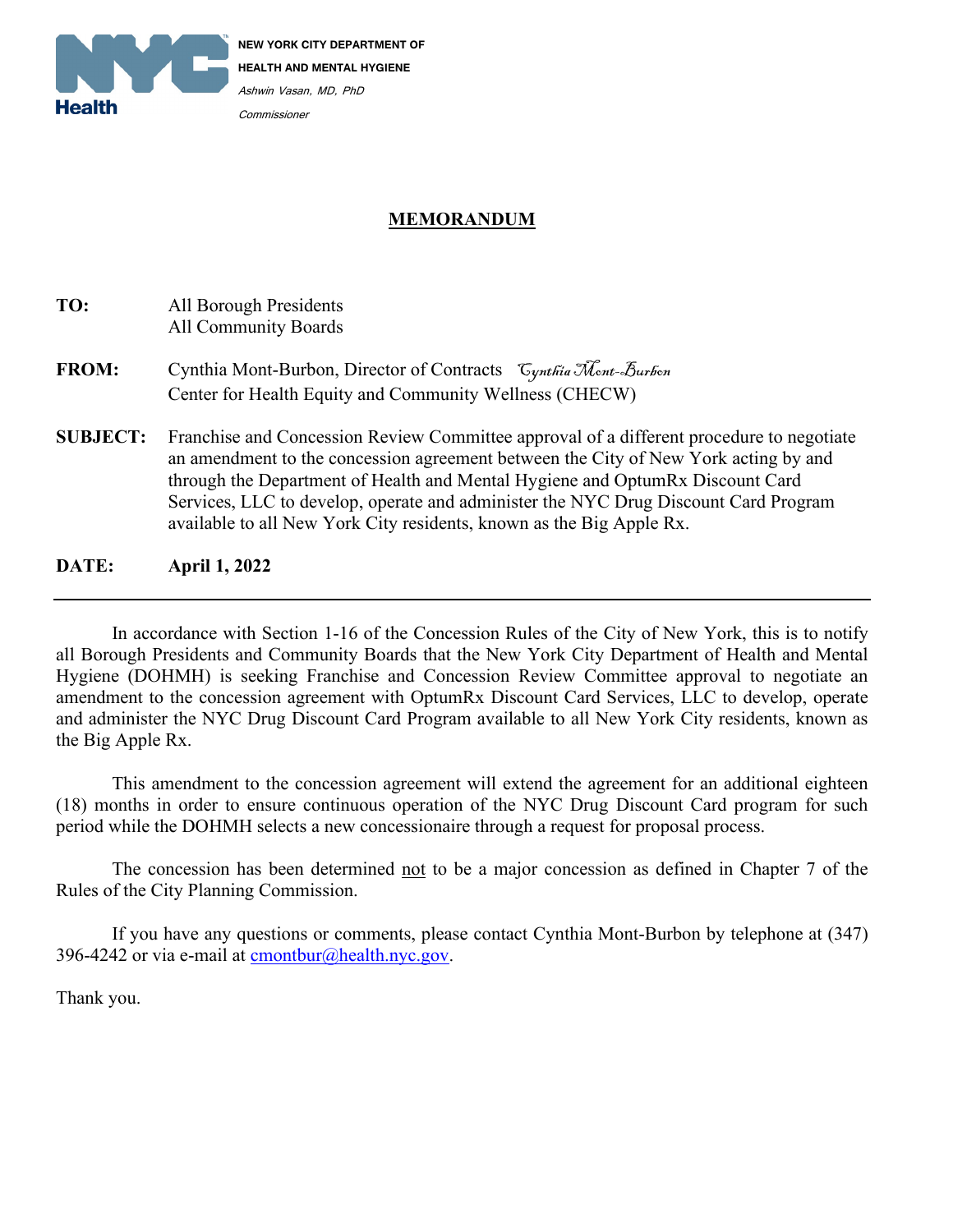

## **MEMORANDUM**

# **TO:** All Borough Presidents All Community Boards **FROM:** Cynthia Mont-Burbon, Director of Contracts Cynthia Mont-Burbon Center for Health Equity and Community Wellness (CHECW) **SUBJECT:** Franchise and Concession Review Committee approval of a different procedure to negotiate an amendment to the concession agreement between the City of New York acting by and through the Department of Health and Mental Hygiene and OptumRx Discount Card Services, LLC to develop, operate and administer the NYC Drug Discount Card Program available to all New York City residents, known as the Big Apple Rx.

**DATE: April 1, 2022**

In accordance with Section 1-16 of the Concession Rules of the City of New York, this is to notify all Borough Presidents and Community Boards that the New York City Department of Health and Mental Hygiene (DOHMH) is seeking Franchise and Concession Review Committee approval to negotiate an amendment to the concession agreement with OptumRx Discount Card Services, LLC to develop, operate and administer the NYC Drug Discount Card Program available to all New York City residents, known as the Big Apple Rx.

This amendment to the concession agreement will extend the agreement for an additional eighteen (18) months in order to ensure continuous operation of the NYC Drug Discount Card program for such period while the DOHMH selects a new concessionaire through a request for proposal process.

The concession has been determined not to be a major concession as defined in Chapter 7 of the Rules of the City Planning Commission.

If you have any questions or comments, please contact Cynthia Mont-Burbon by telephone at (347) 396-4242 or via e-mail at  $\overline{c}$  [cmontbur@health.nyc.gov.](mailto:cmontbur@health.nyc.gov)

Thank you.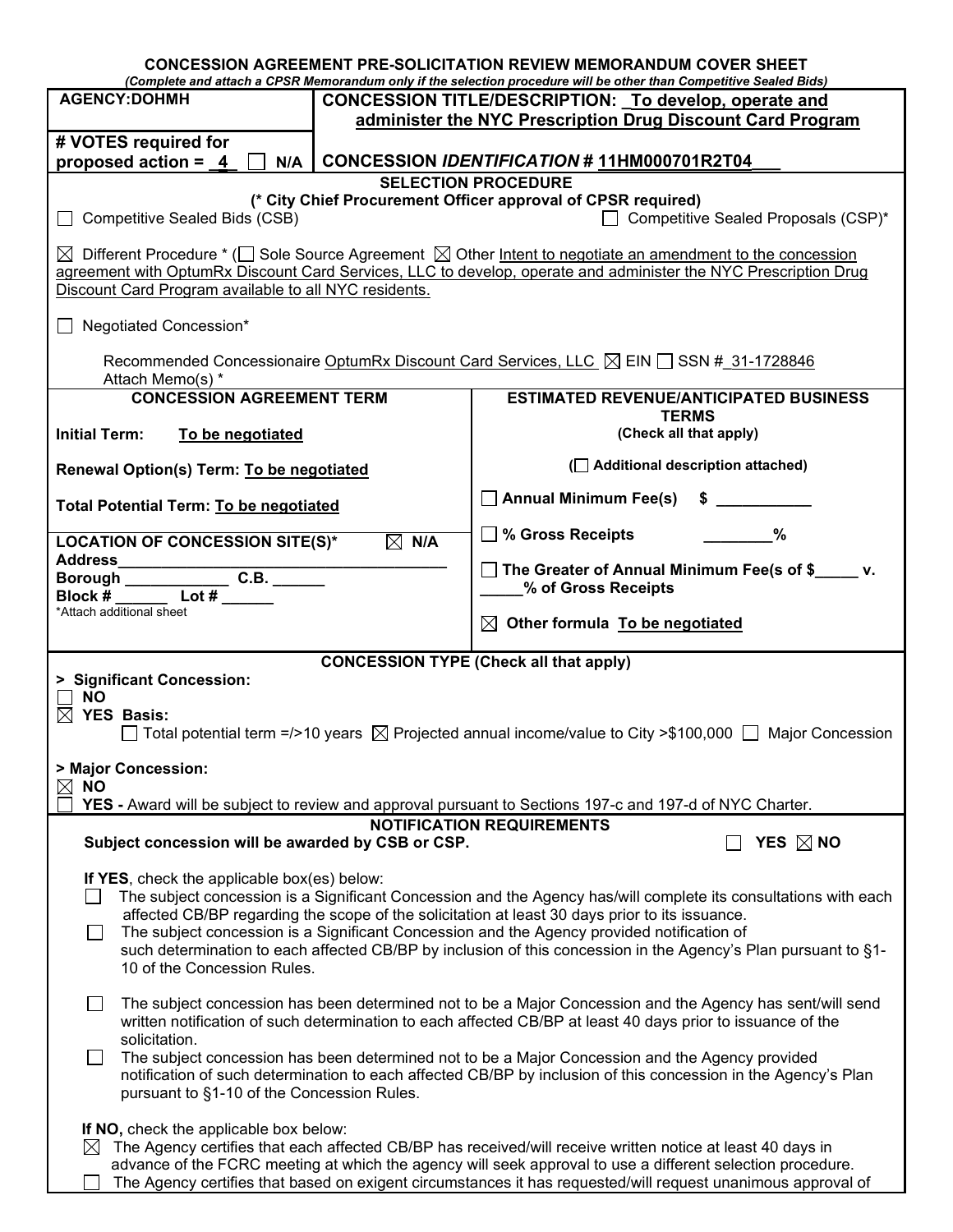|                                                                                                                                                                                                                                                                                                                                                                                                                                                                                                                 |  | <b>CONCESSION AGREEMENT PRE-SOLICITATION REVIEW MEMORANDUM COVER SHEET</b><br>(Complete and attach a CPSR Memorandum only if the selection procedure will be other than Competitive Sealed Bids) |  |  |
|-----------------------------------------------------------------------------------------------------------------------------------------------------------------------------------------------------------------------------------------------------------------------------------------------------------------------------------------------------------------------------------------------------------------------------------------------------------------------------------------------------------------|--|--------------------------------------------------------------------------------------------------------------------------------------------------------------------------------------------------|--|--|
| <b>AGENCY:DOHMH</b>                                                                                                                                                                                                                                                                                                                                                                                                                                                                                             |  | CONCESSION TITLE/DESCRIPTION: To develop, operate and                                                                                                                                            |  |  |
|                                                                                                                                                                                                                                                                                                                                                                                                                                                                                                                 |  | administer the NYC Prescription Drug Discount Card Program                                                                                                                                       |  |  |
| # VOTES required for<br>proposed action = $4$<br>N/A                                                                                                                                                                                                                                                                                                                                                                                                                                                            |  | CONCESSION IDENTIFICATION #11HM000701R2T04                                                                                                                                                       |  |  |
|                                                                                                                                                                                                                                                                                                                                                                                                                                                                                                                 |  | <b>SELECTION PROCEDURE</b>                                                                                                                                                                       |  |  |
| (* City Chief Procurement Officer approval of CPSR required)<br>□ Competitive Sealed Proposals (CSP)*<br>Competitive Sealed Bids (CSB)                                                                                                                                                                                                                                                                                                                                                                          |  |                                                                                                                                                                                                  |  |  |
| $\boxtimes$ Different Procedure * ( $\Box$ Sole Source Agreement $\boxtimes$ Other Intent to negotiate an amendment to the concession<br>agreement with OptumRx Discount Card Services, LLC to develop, operate and administer the NYC Prescription Drug                                                                                                                                                                                                                                                        |  |                                                                                                                                                                                                  |  |  |
| Discount Card Program available to all NYC residents.                                                                                                                                                                                                                                                                                                                                                                                                                                                           |  |                                                                                                                                                                                                  |  |  |
| $\Box$ Negotiated Concession*                                                                                                                                                                                                                                                                                                                                                                                                                                                                                   |  |                                                                                                                                                                                                  |  |  |
| Recommended Concessionaire OptumRx Discount Card Services, LLC $\boxtimes$ EIN $\Box$ SSN # 31-1728846<br>Attach Memo(s) *                                                                                                                                                                                                                                                                                                                                                                                      |  |                                                                                                                                                                                                  |  |  |
| <b>CONCESSION AGREEMENT TERM</b>                                                                                                                                                                                                                                                                                                                                                                                                                                                                                |  | <b>ESTIMATED REVENUE/ANTICIPATED BUSINESS</b>                                                                                                                                                    |  |  |
| <b>Initial Term:</b><br>To be negotiated                                                                                                                                                                                                                                                                                                                                                                                                                                                                        |  | <b>TERMS</b><br>(Check all that apply)                                                                                                                                                           |  |  |
| Renewal Option(s) Term: To be negotiated                                                                                                                                                                                                                                                                                                                                                                                                                                                                        |  | ( Additional description attached)                                                                                                                                                               |  |  |
| Total Potential Term: To be negotiated                                                                                                                                                                                                                                                                                                                                                                                                                                                                          |  | □ Annual Minimum Fee(s) \$ _________                                                                                                                                                             |  |  |
| $\boxtimes$ N/A<br><b>LOCATION OF CONCESSION SITE(S)*</b>                                                                                                                                                                                                                                                                                                                                                                                                                                                       |  | ◯ % Gross Receipts<br>%                                                                                                                                                                          |  |  |
| Address_____________<br>Borough $\overline{\phantom{a}}$ C.B.                                                                                                                                                                                                                                                                                                                                                                                                                                                   |  | □ The Greater of Annual Minimum Fee(s of \$<br>●<br>_% of Gross Receipts                                                                                                                         |  |  |
| Block $#$ Lot $#$<br>*Attach additional sheet                                                                                                                                                                                                                                                                                                                                                                                                                                                                   |  | $\boxtimes$ Other formula To be negotiated                                                                                                                                                       |  |  |
|                                                                                                                                                                                                                                                                                                                                                                                                                                                                                                                 |  | <b>CONCESSION TYPE (Check all that apply)</b>                                                                                                                                                    |  |  |
| > Significant Concession:                                                                                                                                                                                                                                                                                                                                                                                                                                                                                       |  |                                                                                                                                                                                                  |  |  |
| <b>NO</b><br>$\boxtimes$ YES Basis:                                                                                                                                                                                                                                                                                                                                                                                                                                                                             |  |                                                                                                                                                                                                  |  |  |
|                                                                                                                                                                                                                                                                                                                                                                                                                                                                                                                 |  | Total potential term =/>10 years $\boxtimes$ Projected annual income/value to City >\$100,000 $\Box$ Major Concession                                                                            |  |  |
| > Major Concession:                                                                                                                                                                                                                                                                                                                                                                                                                                                                                             |  |                                                                                                                                                                                                  |  |  |
| <b>NO</b><br>$\boxtimes$                                                                                                                                                                                                                                                                                                                                                                                                                                                                                        |  |                                                                                                                                                                                                  |  |  |
| <b>YES</b> - Award will be subject to review and approval pursuant to Sections 197-c and 197-d of NYC Charter.<br><b>NOTIFICATION REQUIREMENTS</b>                                                                                                                                                                                                                                                                                                                                                              |  |                                                                                                                                                                                                  |  |  |
| Subject concession will be awarded by CSB or CSP.                                                                                                                                                                                                                                                                                                                                                                                                                                                               |  | YES $\boxtimes$ NO                                                                                                                                                                               |  |  |
| If YES, check the applicable box(es) below:<br>The subject concession is a Significant Concession and the Agency has/will complete its consultations with each<br>affected CB/BP regarding the scope of the solicitation at least 30 days prior to its issuance.<br>The subject concession is a Significant Concession and the Agency provided notification of<br>such determination to each affected CB/BP by inclusion of this concession in the Agency's Plan pursuant to §1-<br>10 of the Concession Rules. |  |                                                                                                                                                                                                  |  |  |
| The subject concession has been determined not to be a Major Concession and the Agency has sent/will send<br>written notification of such determination to each affected CB/BP at least 40 days prior to issuance of the<br>solicitation.                                                                                                                                                                                                                                                                       |  |                                                                                                                                                                                                  |  |  |
| The subject concession has been determined not to be a Major Concession and the Agency provided<br>notification of such determination to each affected CB/BP by inclusion of this concession in the Agency's Plan<br>pursuant to §1-10 of the Concession Rules.                                                                                                                                                                                                                                                 |  |                                                                                                                                                                                                  |  |  |
| If NO, check the applicable box below:                                                                                                                                                                                                                                                                                                                                                                                                                                                                          |  |                                                                                                                                                                                                  |  |  |
| The Agency certifies that each affected CB/BP has received/will receive written notice at least 40 days in<br>$\bowtie$<br>advance of the FCRC meeting at which the agency will seek approval to use a different selection procedure.                                                                                                                                                                                                                                                                           |  |                                                                                                                                                                                                  |  |  |
| The Agency certifies that based on exigent circumstances it has requested/will request unanimous approval of                                                                                                                                                                                                                                                                                                                                                                                                    |  |                                                                                                                                                                                                  |  |  |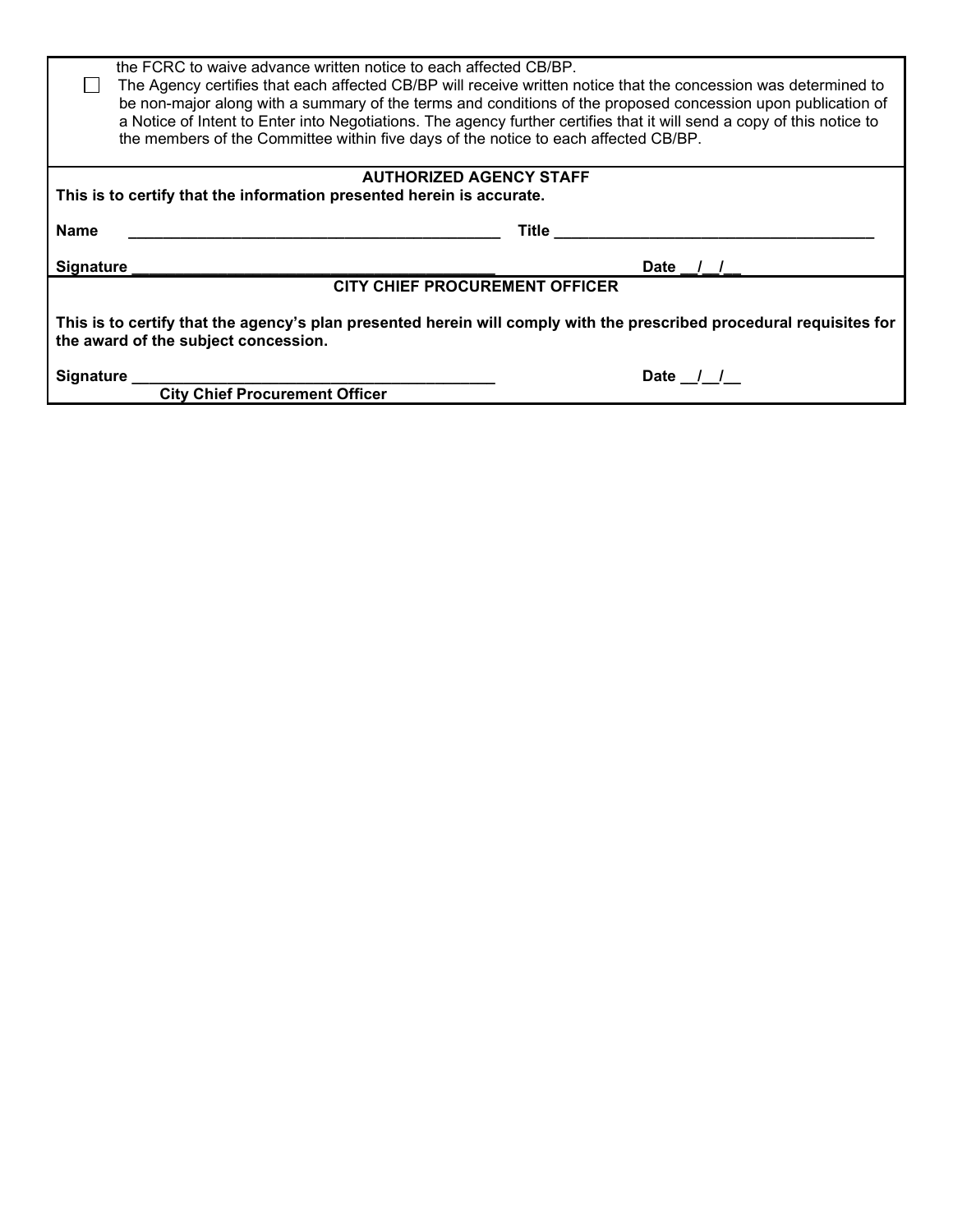| the FCRC to waive advance written notice to each affected CB/BP.<br>The Agency certifies that each affected CB/BP will receive written notice that the concession was determined to<br>be non-major along with a summary of the terms and conditions of the proposed concession upon publication of<br>a Notice of Intent to Enter into Negotiations. The agency further certifies that it will send a copy of this notice to<br>the members of the Committee within five days of the notice to each affected CB/BP. |          |  |  |
|----------------------------------------------------------------------------------------------------------------------------------------------------------------------------------------------------------------------------------------------------------------------------------------------------------------------------------------------------------------------------------------------------------------------------------------------------------------------------------------------------------------------|----------|--|--|
| <b>AUTHORIZED AGENCY STAFF</b><br>This is to certify that the information presented herein is accurate.                                                                                                                                                                                                                                                                                                                                                                                                              |          |  |  |
|                                                                                                                                                                                                                                                                                                                                                                                                                                                                                                                      |          |  |  |
| <b>Name</b>                                                                                                                                                                                                                                                                                                                                                                                                                                                                                                          | Title    |  |  |
| Signature                                                                                                                                                                                                                                                                                                                                                                                                                                                                                                            | Date / / |  |  |
| <b>CITY CHIEF PROCUREMENT OFFICER</b>                                                                                                                                                                                                                                                                                                                                                                                                                                                                                |          |  |  |
| This is to certify that the agency's plan presented herein will comply with the prescribed procedural requisites for<br>the award of the subject concession.                                                                                                                                                                                                                                                                                                                                                         |          |  |  |
| Signature<br><b>City Chief Procurement Officer</b>                                                                                                                                                                                                                                                                                                                                                                                                                                                                   | Date / / |  |  |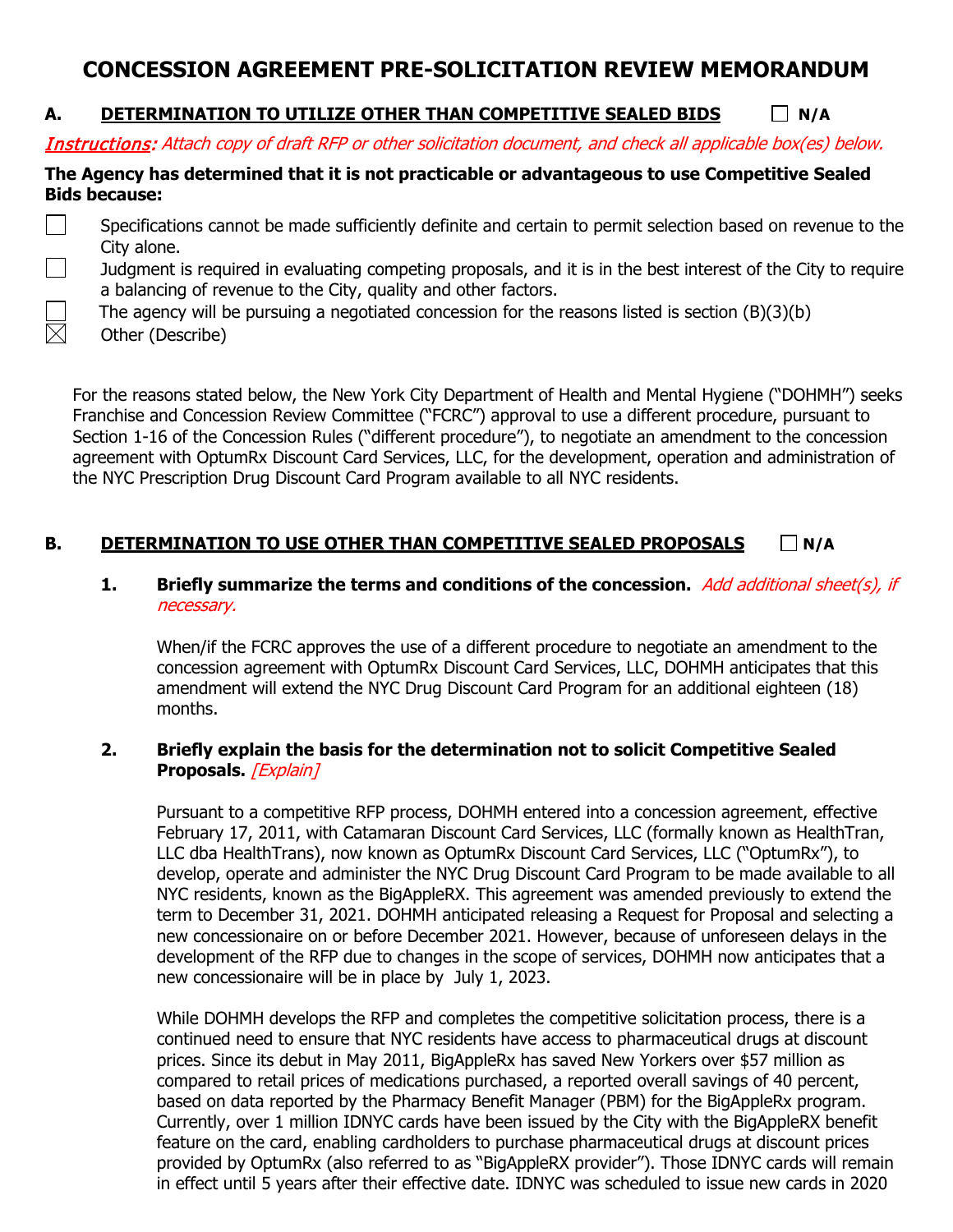## **CONCESSION AGREEMENT PRE-SOLICITATION REVIEW MEMORANDUM**

### **A. DETERMINATION TO UTILIZE OTHER THAN COMPETITIVE SEALED BIDS N/A**

Instructions: Attach copy of draft RFP or other solicitation document, and check all applicable box(es) below.

#### **The Agency has determined that it is not practicable or advantageous to use Competitive Sealed Bids because:**

- Specifications cannot be made sufficiently definite and certain to permit selection based on revenue to the City alone.
	- Judgment is required in evaluating competing proposals, and it is in the best interest of the City to require a balancing of revenue to the City, quality and other factors.
		- The agency will be pursuing a negotiated concession for the reasons listed is section (B)(3)(b)
	- **Other (Describe)**

 $\boxtimes$ 

For the reasons stated below, the New York City Department of Health and Mental Hygiene ("DOHMH") seeks Franchise and Concession Review Committee ("FCRC") approval to use a different procedure, pursuant to Section 1-16 of the Concession Rules ("different procedure"), to negotiate an amendment to the concession agreement with OptumRx Discount Card Services, LLC, for the development, operation and administration of the NYC Prescription Drug Discount Card Program available to all NYC residents.

### **B. DETERMINATION TO USE OTHER THAN COMPETITIVE SEALED PROPOSALS**  $\Box$  **N/A**

#### **1. Briefly summarize the terms and conditions of the concession.** Add additional sheet(s), if necessary.

When/if the FCRC approves the use of a different procedure to negotiate an amendment to the concession agreement with OptumRx Discount Card Services, LLC, DOHMH anticipates that this amendment will extend the NYC Drug Discount Card Program for an additional eighteen (18) months.

#### **2. Briefly explain the basis for the determination not to solicit Competitive Sealed**  Proposals. **[Explain]**

Pursuant to a competitive RFP process, DOHMH entered into a concession agreement, effective February 17, 2011, with Catamaran Discount Card Services, LLC (formally known as HealthTran, LLC dba HealthTrans), now known as OptumRx Discount Card Services, LLC ("OptumRx"), to develop, operate and administer the NYC Drug Discount Card Program to be made available to all NYC residents, known as the BigAppleRX. This agreement was amended previously to extend the term to December 31, 2021. DOHMH anticipated releasing a Request for Proposal and selecting a new concessionaire on or before December 2021. However, because of unforeseen delays in the development of the RFP due to changes in the scope of services, DOHMH now anticipates that a new concessionaire will be in place by July 1, 2023.

While DOHMH develops the RFP and completes the competitive solicitation process, there is a continued need to ensure that NYC residents have access to pharmaceutical drugs at discount prices. Since its debut in May 2011, BigAppleRx has saved New Yorkers over \$57 million as compared to retail prices of medications purchased, a reported overall savings of 40 percent, based on data reported by the Pharmacy Benefit Manager (PBM) for the BigAppleRx program. Currently, over 1 million IDNYC cards have been issued by the City with the BigAppleRX benefit feature on the card, enabling cardholders to purchase pharmaceutical drugs at discount prices provided by OptumRx (also referred to as "BigAppleRX provider"). Those IDNYC cards will remain in effect until 5 years after their effective date. IDNYC was scheduled to issue new cards in 2020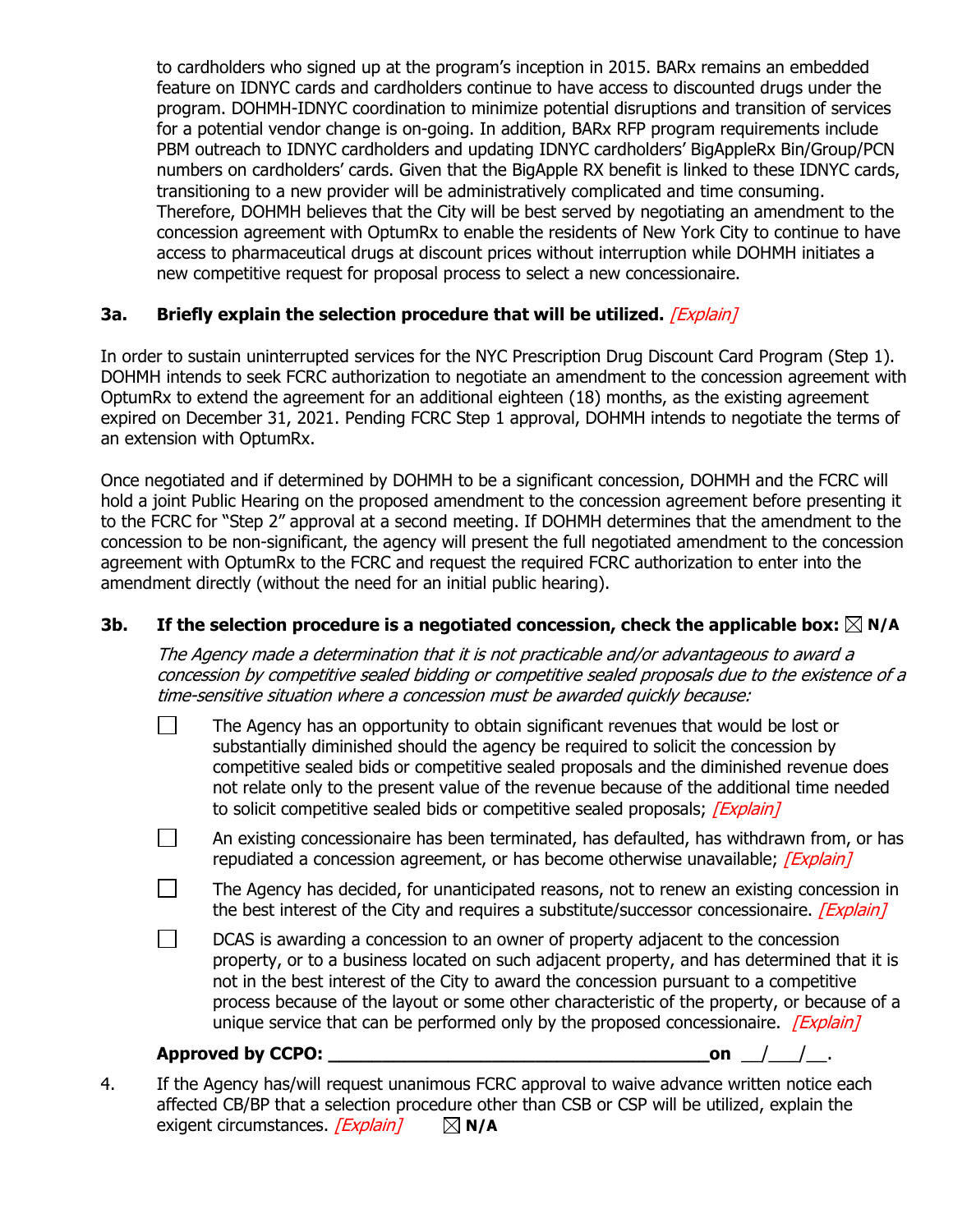to cardholders who signed up at the program's inception in 2015. BARx remains an embedded feature on IDNYC cards and cardholders continue to have access to discounted drugs under the program. DOHMH-IDNYC coordination to minimize potential disruptions and transition of services for a potential vendor change is on-going. In addition, BARx RFP program requirements include PBM outreach to IDNYC cardholders and updating IDNYC cardholders' BigAppleRx Bin/Group/PCN numbers on cardholders' cards. Given that the BigApple RX benefit is linked to these IDNYC cards, transitioning to a new provider will be administratively complicated and time consuming. Therefore, DOHMH believes that the City will be best served by negotiating an amendment to the concession agreement with OptumRx to enable the residents of New York City to continue to have access to pharmaceutical drugs at discount prices without interruption while DOHMH initiates a new competitive request for proposal process to select a new concessionaire.

#### **3a. Briefly explain the selection procedure that will be utilized.** [Explain]

In order to sustain uninterrupted services for the NYC Prescription Drug Discount Card Program (Step 1). DOHMH intends to seek FCRC authorization to negotiate an amendment to the concession agreement with OptumRx to extend the agreement for an additional eighteen (18) months, as the existing agreement expired on December 31, 2021. Pending FCRC Step 1 approval, DOHMH intends to negotiate the terms of an extension with OptumRx.

Once negotiated and if determined by DOHMH to be a significant concession, DOHMH and the FCRC will hold a joint Public Hearing on the proposed amendment to the concession agreement before presenting it to the FCRC for "Step 2" approval at a second meeting. If DOHMH determines that the amendment to the concession to be non-significant, the agency will present the full negotiated amendment to the concession agreement with OptumRx to the FCRC and request the required FCRC authorization to enter into the amendment directly (without the need for an initial public hearing).

#### **3b.** If the selection procedure is a negotiated concession, check the applicable box:  $\boxtimes$  N/A

The Agency made a determination that it is not practicable and/or advantageous to award <sup>a</sup> concession by competitive sealed bidding or competitive sealed proposals due to the existence of a time-sensitive situation where a concession must be awarded quickly because:

- $\Box$ The Agency has an opportunity to obtain significant revenues that would be lost or substantially diminished should the agency be required to solicit the concession by competitive sealed bids or competitive sealed proposals and the diminished revenue does not relate only to the present value of the revenue because of the additional time needed to solicit competitive sealed bids or competitive sealed proposals; *[Explain]*
- $\Box$ An existing concessionaire has been terminated, has defaulted, has withdrawn from, or has repudiated a concession agreement, or has become otherwise unavailable; *[Explain]*
- $\Box$ The Agency has decided, for unanticipated reasons, not to renew an existing concession in the best interest of the City and requires a substitute/successor concessionaire. [Explain]
- $\perp$ DCAS is awarding a concession to an owner of property adjacent to the concession property, or to a business located on such adjacent property, and has determined that it is not in the best interest of the City to award the concession pursuant to a competitive process because of the layout or some other characteristic of the property, or because of a unique service that can be performed only by the proposed concessionaire.  $/Explain$

#### **Approved by CCPO: \_\_\_\_\_\_\_\_\_\_\_\_\_\_\_\_\_\_\_\_\_\_\_\_\_\_\_\_\_\_\_\_\_\_\_on** \_\_/\_\_\_/\_\_.

4. If the Agency has/will request unanimous FCRC approval to waive advance written notice each affected CB/BP that a selection procedure other than CSB or CSP will be utilized, explain the exigent circumstances.  $[Explain] \quad \boxtimes N/A$